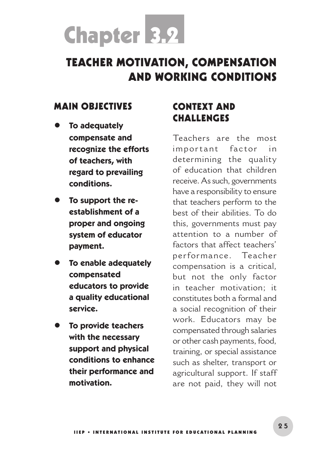# Chapter 3.2

# TEACHER MOTIVATION, COMPENSATION AND WORKING CONDITIONS

#### MAIN OBJECTIVES

- **To adequately compensate and recognize the efforts of teachers, with regard to prevailing conditions.**
- **To support the reestablishment of a proper and ongoing system of educator payment.**
- **To enable adequately compensated educators to provide a quality educational service.**
- **To provide teachers with the necessary support and physical conditions to enhance their performance and motivation.**

# CONTEXT AND **CHALLENGES**

Teachers are the most important factor in determining the quality of education that children receive. As such, governments have a responsibility to ensure that teachers perform to the best of their abilities. To do this, governments must pay attention to a number of factors that affect teachers' p er for ma nce. Teacher compensation is a critical, but not the only factor in teacher motivation; it constitutes both a formal and a social recognition of their work. Educators may be compensated through salaries or other cash payments, food, training, or special assistance such as shelter, transport or agricultural support. If staff are not paid, they will not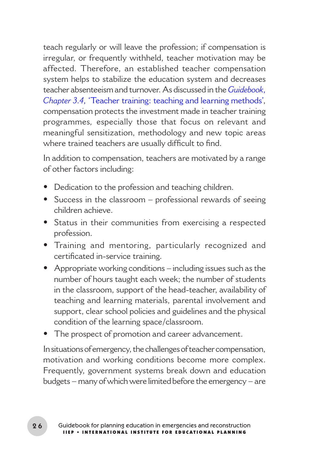teach regularly or will leave the profession; if compensation is irregular, or frequently withheld, teacher motivation may be affected. Therefore, an established teacher compensation system helps to stabilize the education system and decreases teacher absenteeism and turnover. As discussed in the *Guidebook*, *Chapter 3.4*, 'Teacher training: teaching and learning methods', compensation protects the investment made in teacher training programmes*,* especially those that focus on relevant and meaningful sensitization, methodology and new topic areas where trained teachers are usually difficult to find.

In addition to compensation, teachers are motivated by a range of other factors including:

- Dedication to the profession and teaching children. **•**
- Success in the classroom professional rewards of seeing **•** children achieve.
- Status in their communities from exercising a respected **•** profession.
- Training and mentoring, particularly recognized and **•** certificated in-service training.
- Appropriate working conditions including issues such as the **•** number of hours taught each week; the number of students in the classroom, support of the head-teacher, availability of teaching and learning materials, parental involvement and support, clear school policies and guidelines and the physical condition of the learning space/classroom.
- The prospect of promotion and career advancement. **•**

In situations of emergency, the challenges of teacher compensation, motivation and working conditions become more complex. Frequently, government systems break down and education budgets – many of which were limited before the emergency – are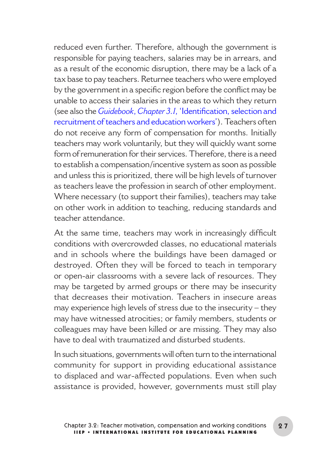reduced even further. Therefore, although the government is responsible for paying teachers, salaries may be in arrears, and as a result of the economic disruption, there may be a lack of a tax base to pay teachers. Returnee teachers who were employed by the government in a specific region before the conflict may be unable to access their salaries in the areas to which they return (see also the *Guidebook*, *Chapter 3.1*, 'Identification, selection and recruitment of teachers and education workers'). Teachers often do not receive any form of compensation for months. Initially teachers may work voluntarily, but they will quickly want some form of remuneration for their services. Therefore, there is a need to establish a compensation/incentive system as soon as possible and unless this is prioritized, there will be high levels of turnover as teachers leave the profession in search of other employment. Where necessary (to support their families), teachers may take on other work in addition to teaching, reducing standards and teacher attendance.

At the same time, teachers may work in increasingly difficult conditions with overcrowded classes, no educational materials and in schools where the buildings have been damaged or destroyed. Often they will be forced to teach in temporary or open-air classrooms with a severe lack of resources. They may be targeted by armed groups or there may be insecurity that decreases their motivation. Teachers in insecure areas may experience high levels of stress due to the insecurity – they may have witnessed atrocities; or family members, students or colleagues may have been killed or are missing. They may also have to deal with traumatized and disturbed students.

In such situations, governments will often turn to the international community for support in providing educational assistance to displaced and war-affected populations. Even when such assistance is provided, however, governments must still play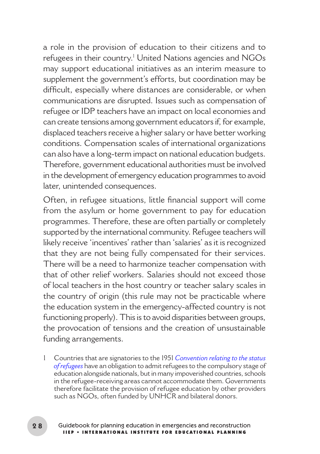a role in the provision of education to their citizens and to refugees in their country.' United Nations agencies and NGOs may support educational initiatives as an interim measure to supplement the government's efforts, but coordination may be difficult, especially where distances are considerable, or when communications are disrupted. Issues such as compensation of refugee or IDP teachers have an impact on local economies and can create tensions among government educators if, for example, displaced teachers receive a higher salary or have better working conditions. Compensation scales of international organizations can also have a long-term impact on national education budgets. Therefore, government educational authorities must be involved in the development of emergency education programmes to avoid later, unintended consequences.

Often, in refugee situations, little financial support will come from the asylum or home government to pay for education programmes. Therefore, these are often partially or completely supported by the international community. Refugee teachers will likely receive 'incentives' rather than 'salaries' as it is recognized that they are not being fully compensated for their services. There will be a need to harmonize teacher compensation with that of other relief workers. Salaries should not exceed those of local teachers in the host country or teacher salary scales in the country of origin (this rule may not be practicable where the education system in the emergency-affected country is not functioning properly). This is to avoid disparities between groups, the provocation of tensions and the creation of unsustainable funding arrangements.

1 Countries that are signatories to the 1951 *[Convention relating to the status](http://www.unhcr.org/protect/PROTECTION/3b66c2aa10.pdf)  [of refugees](http://www.unhcr.org/protect/PROTECTION/3b66c2aa10.pdf)* have an obligation to admit refugees to the compulsory stage of education alongside nationals, but in many impoverished countries, schools in the refugee-receiving areas cannot accommodate them. Governments therefore facilitate the provision of refugee education by other providers such as NGOs, often funded by UNHCR and bilateral donors.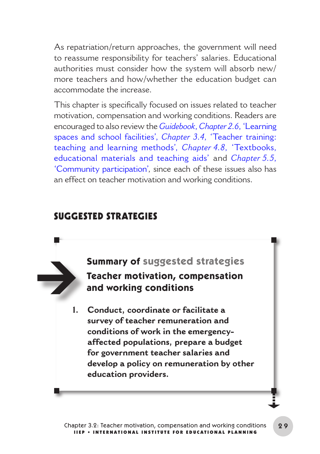As repatriation/return approaches, the government will need to reassume responsibility for teachers' salaries. Educational authorities must consider how the system will absorb new/ more teachers and how/whether the education budget can accommodate the increase.

This chapter is specifically focused on issues related to teacher motivation, compensation and working conditions. Readers are encouraged to also review the *Guidebook*, *Chapter 2.6*, 'Learning spaces and school facilities', *Chapter 3.4*, 'Teacher training: teaching and learning methods', *Chapter 4.8*, 'Textbooks, educational materials and teaching aids' and *Chapter 5.5*, 'Community participation', since each of these issues also has an effect on teacher motivation and working conditions.

### SUGGESTED STRATEGIES

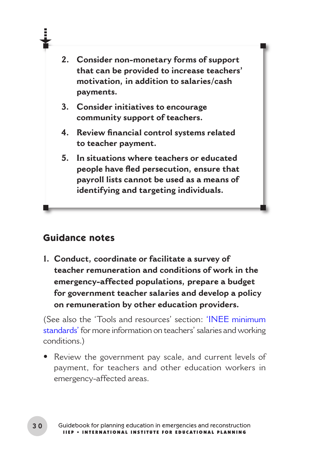- **2. Consider non-monetary forms of support that can be provided to increase teachers' motivation, in addition to salaries/cash payments.**
- **3. Consider initiatives to encourage community support of teachers.**
- **4. Review financial control systems related to teacher payment.**
- **5. In situations where teachers or educated people have fled persecution, ensure that payroll lists cannot be used as a means of identifying and targeting individuals.**

#### **Guidance notes**

**1. Conduct, coordinate or facilitate a survey of teacher remuneration and conditions of work in the emergency-affected populations, prepare a budget for government teacher salaries and develop a policy on remuneration by other education providers.** 

(See also the 'Tools and resources' section: ['INEE minimum](#page-13-0)  [standards' f](#page-13-0)or more information on teachers' salaries and working conditions.)

Review the government pay scale, and current levels of **•**payment, for teachers and other education workers in emergency-affected areas.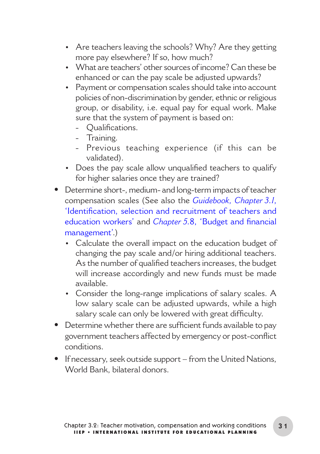- Are teachers leaving the schools? Why? Are they getting more pay elsewhere? If so, how much?
- What are teachers' other sources of income? Can these be enhanced or can the pay scale be adjusted upwards?
- Payment or compensation scales should take into account policies of non-discrimination by gender, ethnic or religious group, or disability, i.e. equal pay for equal work. Make sure that the system of payment is based on:
	- Qualifications.
	- Training.
	- Previous teaching experience (if this can be validated).
- Does the pay scale allow unqualified teachers to qualify for higher salaries once they are trained?
- Determine short-, medium- and long-term impacts of teacher **•** compensation scales (See also the *Guidebook, Chapter 3.1*, 'Identification, selection and recruitment of teachers and education workers' and *Chapter 5.*8, 'Budget and financial management'.)
	- Calculate the overall impact on the education budget of changing the pay scale and/or hiring additional teachers. As the number of qualified teachers increases, the budget will increase accordingly and new funds must be made available.
	- Consider the long-range implications of salary scales. A low salary scale can be adjusted upwards, while a high salary scale can only be lowered with great difficulty.
- Determine whether there are sufficient funds available to pay **•** government teachers affected by emergency or post-conflict conditions.
- **•** If necessary, seek outside support from the United Nations, World Bank, bilateral donors.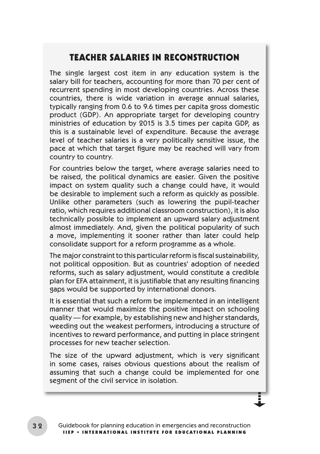#### TEACHER SALARIES IN RECONSTRUCTION

The single largest cost item in any education system is the salary bill for teachers, accounting for more than 70 per cent of recurrent spending in most developing countries. Across these countries, there is wide variation in average annual salaries, typically ranging from 0.6 to 9.6 times per capita gross domestic product (GDP). An appropriate target for developing country ministries of education by 2015 is 3.5 times per capita GDP, as this is a sustainable level of expenditure. Because the average level of teacher salaries is a very politically sensitive issue, the pace at which that target figure may be reached will vary from country to country.

For countries below the target, where average salaries need to be raised, the political dynamics are easier. Given the positive impact on system quality such a change could have, it would be desirable to implement such a reform as quickly as possible. Unlike other parameters (such as lowering the pupil-teacher ratio, which requires additional classroom construction), it is also technically possible to implement an upward salary adjustment almost immediately. And, given the political popularity of such a move, implementing it sooner rather than later could help consolidate support for a reform programme as a whole.

The major constraint to this particular reform is fiscal sustainability, not political opposition. But as countries' adoption of needed reforms, such as salary adjustment, would constitute a credible plan for EFA attainment, it is justifiable that any resulting financing gaps would be supported by international donors.

It is essential that such a reform be implemented in an intelligent manner that would maximize the positive impact on schooling quality — for example, by establishing new and higher standards, weeding out the weakest performers, introducing a structure of incentives to reward performance, and putting in place stringent processes for new teacher selection.

The size of the upward adjustment, which is very significant in some cases, raises obvious questions about the realism of assuming that such a change could be implemented for one segment of the civil service in isolation.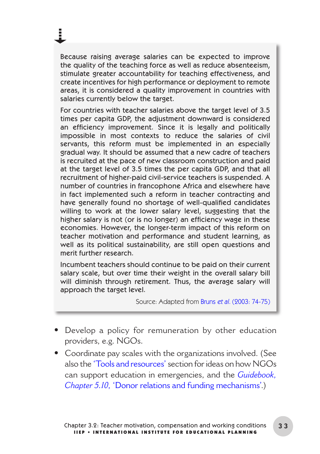Because raising average salaries can be expected to improve the quality of the teaching force as well as reduce absenteeism, stimulate greater accountability for teaching effectiveness, and create incentives for high performance or deployment to remote areas, it is considered a quality improvement in countries with salaries currently below the target.

ă.

For countries with teacher salaries above the target level of 3.5 times per capita GDP, the adjustment downward is considered an efficiency improvement. Since it is legally and politically impossible in most contexts to reduce the salaries of civil servants, this reform must be implemented in an especially gradual way. It should be assumed that a new cadre of teachers is recruited at the pace of new classroom construction and paid at the target level of 3.5 times the per capita GDP, and that all recruitment of higher-paid civil-service teachers is suspended. A number of countries in francophone Africa and elsewhere have in fact implemented such a reform in teacher contracting and have generally found no shortage of well-qualified candidates willing to work at the lower salary level, suggesting that the higher salary is not (or is no longer) an efficiency wage in these economies. However, the longer-term impact of this reform on teacher motivation and performance and student learning, as well as its political sustainability, are still open questions and merit further research.

Incumbent teachers should continue to be paid on their current salary scale, but over time their weight in the overall salary bill will diminish through retirement. Thus, the average salary will approach the target level.

Source: Adapted from Bruns et al. [\(2003: 74-75\)](#page-21-0)

- Develop a policy for remuneration by other education **•** providers, e.g. NGOs.
- Coordinate pay scales with the organizations involved. (See **•**also the ['Tools and resources'](#page-13-0) section for ideas on how NGOs can support education in emergencies, and the *Guidebook, Chapter 5.10*, 'Donor relations and funding mechanisms'.)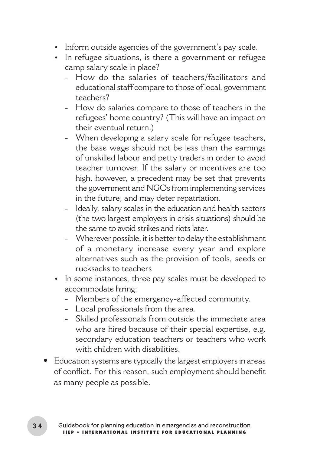- Inform outside agencies of the government's pay scale.
- In refugee situations, is there a government or refugee camp salary scale in place?
	- How do the salaries of teachers/facilitators and educational staff compare to those of local, government teachers?
	- How do salaries compare to those of teachers in the refugees' home country? (This will have an impact on their eventual return.)
	- When developing a salary scale for refugee teachers, the base wage should not be less than the earnings of unskilled labour and petty traders in order to avoid teacher turnover. If the salary or incentives are too high, however, a precedent may be set that prevents the government and NGOs from implementing services in the future, and may deter repatriation.
	- Ideally, salary scales in the education and health sectors (the two largest employers in crisis situations) should be the same to avoid strikes and riots later.
	- Wherever possible, it is better to delay the establishment of a monetary increase every year and explore alternatives such as the provision of tools, seeds or rucksacks to teachers
- In some instances, three pay scales must be developed to accommodate hiring:
	- Members of the emergency-affected community.
	- Local professionals from the area.
	- Skilled professionals from outside the immediate area who are hired because of their special expertise, e.g. secondary education teachers or teachers who work with children with disabilities.
- Education systems are typically the largest employers in areas **•**of conflict. For this reason, such employment should benefit as many people as possible.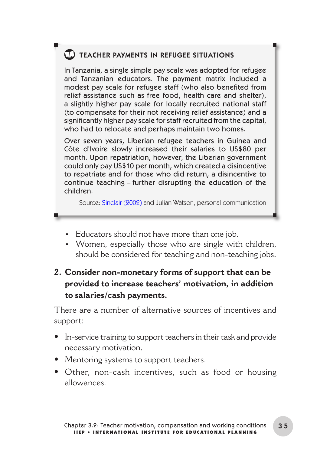# **CD** TEACHER PAYMENTS IN REFUGEE SITUATIONS

In Tanzania, a single simple pay scale was adopted for refugee and Tanzanian educators. The payment matrix included a modest pay scale for refugee staff (who also benefited from relief assistance such as free food, health care and shelter), a slightly higher pay scale for locally recruited national staff (to compensate for their not receiving relief assistance) and a significantly higher pay scale for staff recruited from the capital, who had to relocate and perhaps maintain two homes.

Over seven years, Liberian refugee teachers in Guinea and Côte d'Ivoire slowly increased their salaries to US\$80 per month. Upon repatriation, however, the Liberian government could only pay US\$10 per month, which created a disincentive to repatriate and for those who did return, a disincentive to continue teaching – further disrupting the education of the children.

Source: [Sinclair \(2002\)](#page-22-0) and Julian Watson, personal communication

- Educators should not have more than one job. •
- Women, especially those who are single with children, should be considered for teaching and non-teaching jobs.
- **2. Consider non-monetary forms of support that can be provided to increase teachers' motivation, in addition to salaries/cash payments.**

There are a number of alternative sources of incentives and support:

- In-service training to support teachers in their task and provide necessary motivation.
- Mentoring systems to support teachers. **•**
- Other, non-cash incentives, such as food or housing **•** allowances.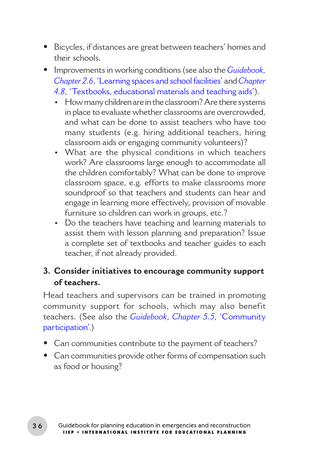- Bicycles, if distances are great between teachers' homes and **•** their schools.
- Improvements in working conditions (see also the *Guidebook,*  **•** *Chapter 2.6*, 'Learning spaces and school facilities' and *Chapter 4.8*, 'Textbooks, educational materials and teaching aids').
	- How many children are in the classroom? Are there systems in place to evaluate whether classrooms are overcrowded, and what can be done to assist teachers who have too many students (e.g. hiring additional teachers, hiring classroom aids or engaging community volunteers)?
	- What are the physical conditions in which teachers work? Are classrooms large enough to accommodate all the children comfortably? What can be done to improve classroom space, e.g. efforts to make classrooms more soundproof so that teachers and students can hear and engage in learning more effectively, provision of movable furniture so children can work in groups, etc.?
	- Do the teachers have teaching and learning materials to assist them with lesson planning and preparation? Issue a complete set of textbooks and teacher guides to each teacher, if not already provided.

#### **3. Consider initiatives to encourage community support of teachers.**

Head teachers and supervisors can be trained in promoting community support for schools, which may also benefit teachers. (See also the *Guidebook*, *Chapter 5.5*, 'Community participation'.)

- Can communities contribute to the payment of teachers? **•**
- Can communities provide other forms of compensation such **•**as food or housing?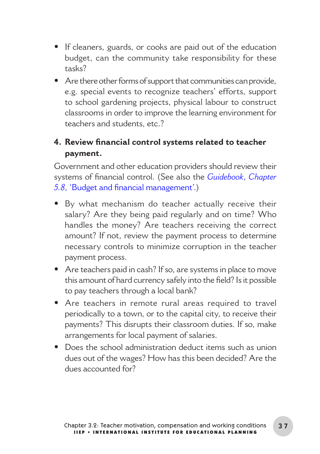- If cleaners, guards, or cooks are paid out of the education budget, can the community take responsibility for these tasks?
- Are there other forms of support that communities can provide, **•** e.g. special events to recognize teachers' efforts, support to school gardening projects, physical labour to construct classrooms in order to improve the learning environment for teachers and students, etc. ?

#### **4. Review financial control systems related to teacher payment.**

Government and other education providers should review their systems of financial control. (See also the *Guidebook*, *Chapter 5.8*, 'Budget and financial management'.)

- By what mechanism do teacher actually receive their **•** salary? Are they being paid regularly and on time? Who handles the money? Are teachers receiving the correct amount? If not, review the payment process to determine necessary controls to minimize corruption in the teacher payment process.
- Are teachers paid in cash? If so, are systems in place to move **•** this amount of hard currency safely into the field? Is it possible to pay teachers through a local bank?
- Are teachers in remote rural areas required to travel **•** periodically to a town, or to the capital city, to receive their payments? This disrupts their classroom duties. If so, make arrangements for local payment of salaries.
- Does the school administration deduct items such as union **•**dues out of the wages? How has this been decided? Are the dues accounted for?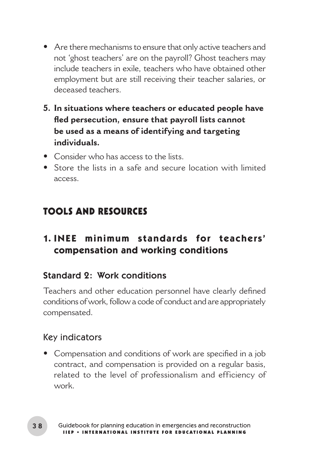- <span id="page-13-0"></span>Are there mechanisms to ensure that only active teachers and **•** not 'ghost teachers' are on the payroll? Ghost teachers may include teachers in exile, teachers who have obtained other employment but are still receiving their teacher salaries, or deceased teachers.
- **5. In situations where teachers or educated people have fled persecution, ensure that payroll lists cannot be used as a means of identifying and targeting individuals.**
- Consider who has access to the lists. **•**
- Store the lists in a safe and secure location with limited **•** access.

# TOOLS AND RESOURCES

## **1. INEE minimum standards for teachers' compensation and working conditions**

#### Standard 2: Work conditions

Teachers and other education personnel have clearly defined conditions of work, follow a code of conduct and are appropriately compensated.

#### Key indicators

Compensation and conditions of work are specified in a job **•**contract, and compensation is provided on a regular basis, related to the level of professionalism and efficiency of work.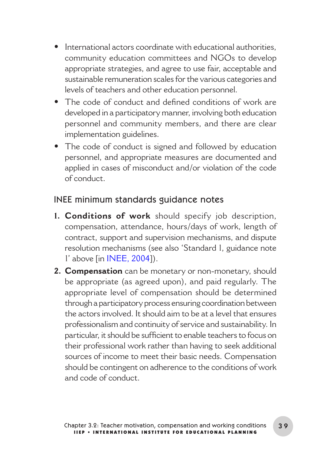- **•** International actors coordinate with educational authorities, community education committees and NGOs to develop appropriate strategies, and agree to use fair, acceptable and sustainable remuneration scales for the various categories and levels of teachers and other education personnel.
- The code of conduct and defined conditions of work are **•** developed in a participatory manner, involving both education personnel and community members, and there are clear implementation guidelines.
- The code of conduct is signed and followed by education **•** personnel, and appropriate measures are documented and applied in cases of misconduct and/or violation of the code of conduct.

#### INEE minimum standards guidance notes

- **Conditions of work** should specify job description, **1.** compensation, attendance, hours/days of work, length of contract, support and supervision mechanisms, and dispute resolution mechanisms (see also 'Standard 1, guidance note 1' above [in [INEE, 2004\]](#page-21-0)).
- **Compensation** can be monetary or non-monetary, should **2.**be appropriate (as agreed upon), and paid regularly. The appropriate level of compensation should be determined through a participatory process ensuring coordination between the actors involved. It should aim to be at a level that ensures professionalism and continuity of service and sustainability. In particular, it should be sufficient to enable teachers to focus on their professional work rather than having to seek additional sources of income to meet their basic needs. Compensation should be contingent on adherence to the conditions of work and code of conduct.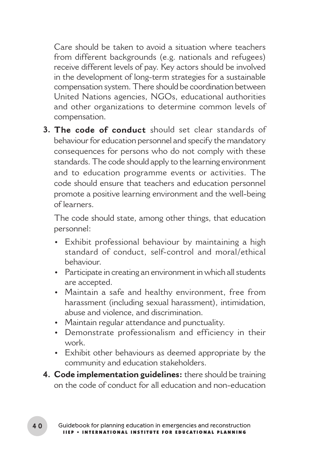Care should be taken to avoid a situation where teachers from different backgrounds (e.g. nationals and refugees) receive different levels of pay. Key actors should be involved in the development of long-term strategies for a sustainable compensation system. There should be coordination between United Nations agencies, NGOs, educational authorities and other organizations to determine common levels of compensation.

**The code of conduct** should set clear standards of **3.** behaviour for education personnel and specify the mandatory consequences for persons who do not comply with these standards. The code should apply to the learning environment and to education programme events or activities. The code should ensure that teachers and education personnel promote a positive learning environment and the well-being of learners.

The code should state, among other things, that education personnel:

- Exhibit professional behaviour by maintaining a high standard of conduct, self-control and moral/ethical behaviour.
- Participate in creating an environment in which all students are accepted.
- Maintain a safe and healthy environment, free from harassment (including sexual harassment), intimidation, abuse and violence, and discrimination.
- Maintain regular attendance and punctuality. •
- Demonstrate professionalism and efficiency in their work.
- Exhibit other behaviours as deemed appropriate by the community and education stakeholders.
- **Code implementation guidelines:**there should be training **4.**on the code of conduct for all education and non-education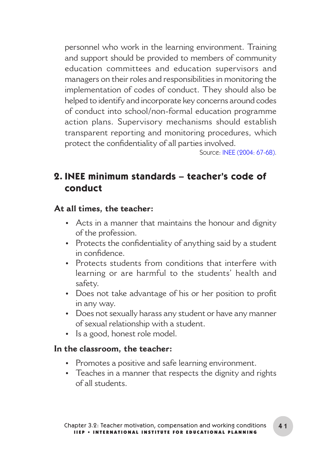personnel who work in the learning environment. Training and support should be provided to members of community education committees and education supervisors and managers on their roles and responsibilities in monitoring the implementation of codes of conduct. They should also be helped to identify and incorporate key concerns around codes of conduct into school/non-formal education programme action plans. Supervisory mechanisms should establish transparent reporting and monitoring procedures, which protect the confidentiality of all parties involved.

Source[: INEE \(2004: 67-68\).](#page-21-0)

#### **2. INEE minimum standards – teacher's code of conduct**

#### **At all times, the teacher:**

- Acts in a manner that maintains the honour and dignity of the profession.
- Protects the confidentiality of anything said by a student in confidence.
- Protects students from conditions that interfere with learning or are harmful to the students' health and safety.
- Does not take advantage of his or her position to profit in any way.
- Does not sexually harass any student or have any manner of sexual relationship with a student.
- Is a good, honest role model.

#### **In the classroom, the teacher:**

- Promotes a positive and safe learning environment.
- Teaches in a manner that respects the dignity and rights of all students.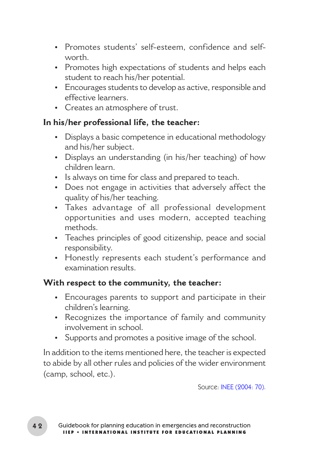- Promotes students' self-esteem, confidence and selfworth.
- Promotes high expectations of students and helps each student to reach his/her potential.
- Encourages students to develop as active, responsible and effective learners.
- Creates an atmosphere of trust.

#### **In his/her professional life, the teacher:**

- Displays a basic competence in educational methodology and his/her subject.
- Displays an understanding (in his/her teaching) of how children learn.
- Is always on time for class and prepared to teach.
- Does not engage in activities that adversely affect the quality of his/her teaching.
- Takes advantage of all professional development opportunities and uses modern, accepted teaching methods.
- Teaches principles of good citizenship, peace and social responsibility.
- Honestly represents each student's performance and examination results.

#### **With respect to the community, the teacher:**

- Encourages parents to support and participate in their children's learning.
- Recognizes the importance of family and community involvement in school.
- Supports and promotes a positive image of the school.

In addition to the items mentioned here, the teacher is expected to abide by all other rules and policies of the wider environment (camp, school, etc.).

Source: [INEE \(2004: 70\).](#page-21-0)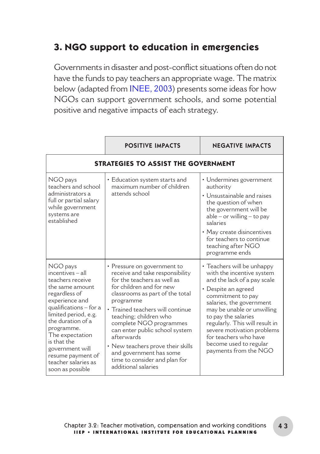# **3. NGO support to education in emergencies**

Governments in disaster and post-conflict situations often do not have the funds to pay teachers an appropriate wage. The matrix below (adapted from [INEE, 2003\)](#page-21-0) presents some ideas for how NGOs can support government schools, and some potential positive and negative impacts of each strategy.

|                                                                                                                                                                                                                                                                                                                   | <b>POSITIVE IMPACTS</b>                                                                                                                                                                                                                                                                                                                                                                                                                    | <b>NEGATIVE IMPACTS</b>                                                                                                                                                                                                                                                                                                                                         |  |  |  |
|-------------------------------------------------------------------------------------------------------------------------------------------------------------------------------------------------------------------------------------------------------------------------------------------------------------------|--------------------------------------------------------------------------------------------------------------------------------------------------------------------------------------------------------------------------------------------------------------------------------------------------------------------------------------------------------------------------------------------------------------------------------------------|-----------------------------------------------------------------------------------------------------------------------------------------------------------------------------------------------------------------------------------------------------------------------------------------------------------------------------------------------------------------|--|--|--|
| STRATEGIES TO ASSIST THE GOVERNMENT                                                                                                                                                                                                                                                                               |                                                                                                                                                                                                                                                                                                                                                                                                                                            |                                                                                                                                                                                                                                                                                                                                                                 |  |  |  |
| NGO pays<br>teachers and school<br>administrators a<br>full or partial salary<br>while government<br>systems are<br>established                                                                                                                                                                                   | • Education system starts and<br>maximum number of children<br>attends school                                                                                                                                                                                                                                                                                                                                                              | • Undermines government<br>authority<br>• Unsustainable and raises<br>the question of when<br>the government will be<br>$able - or willing - to pay$<br>salaries<br>• May create disincentives<br>for teachers to continue<br>teaching after NGO<br>programme ends                                                                                              |  |  |  |
| NGO pays<br>incentives - all<br>teachers receive<br>the same amount.<br>regardless of<br>experience and<br>qualifications - for a<br>limited period, e.g.<br>the duration of a<br>programme.<br>The expectation<br>is that the<br>government will<br>resume payment of<br>teacher salaries as<br>soon as possible | • Pressure on government to<br>receive and take responsibility<br>for the teachers as well as<br>for children and for new<br>classrooms as part of the total<br>programme<br>• Trained teachers will continue<br>teaching; children who<br>complete NGO programmes<br>can enter public school system<br>afterwards<br>• New teachers prove their skills<br>and government has some<br>time to consider and plan for<br>additional salaries | • Teachers will be unhappy<br>with the incentive system<br>and the lack of a pay scale<br>• Despite an agreed<br>commitment to pay<br>salaries, the government<br>may be unable or unwilling<br>to pay the salaries<br>regularly. This will result in<br>severe motivation problems<br>for teachers who have<br>become used to regular<br>payments from the NGO |  |  |  |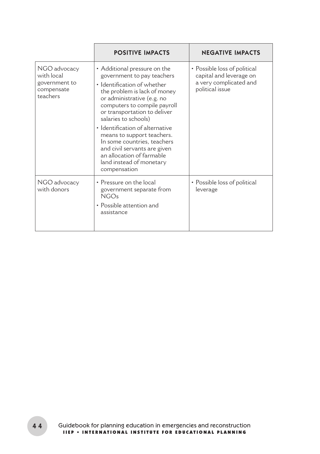|                                                                       | <b>POSITIVE IMPACTS</b>                                                                                                                                                                                                                                                                                                                                                                                                                                  | <b>NEGATIVE IMPACTS</b>                                                                              |
|-----------------------------------------------------------------------|----------------------------------------------------------------------------------------------------------------------------------------------------------------------------------------------------------------------------------------------------------------------------------------------------------------------------------------------------------------------------------------------------------------------------------------------------------|------------------------------------------------------------------------------------------------------|
| NGO advocacy<br>with local<br>government to<br>compensate<br>teachers | • Additional pressure on the<br>government to pay teachers<br>• Identification of whether<br>the problem is lack of money<br>or administrative (e.g. no<br>computers to compile payroll<br>or transportation to deliver<br>salaries to schools)<br>· Identification of alternative<br>means to support teachers.<br>In some countries, teachers<br>and civil servants are given<br>an allocation of farmable<br>land instead of monetary<br>compensation | • Possible loss of political<br>capital and leverage on<br>a very complicated and<br>political issue |
| NGO advocacy<br>with donors                                           | • Pressure on the local<br>government separate from<br>NGOs<br>• Possible attention and<br>assistance                                                                                                                                                                                                                                                                                                                                                    | • Possible loss of political<br>leverage                                                             |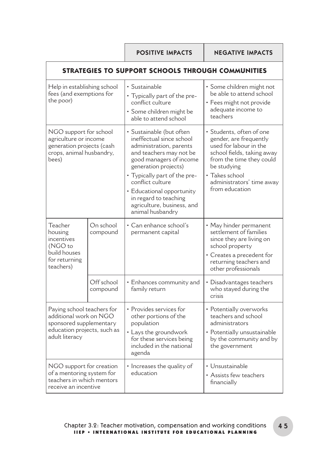POSITIVE IMPACTS NEGATIVE IMPACTS

| STRATEGIES TO SUPPORT SCHOOLS THROUGH COMMUNITIES                                                                                |                        |                                                                                                                                                                                                                                                                                                                           |                                                                                                                                                                                                                        |  |
|----------------------------------------------------------------------------------------------------------------------------------|------------------------|---------------------------------------------------------------------------------------------------------------------------------------------------------------------------------------------------------------------------------------------------------------------------------------------------------------------------|------------------------------------------------------------------------------------------------------------------------------------------------------------------------------------------------------------------------|--|
| Help in establishing school<br>fees (and exemptions for<br>the poor)                                                             |                        | · Sustainable<br>• Typically part of the pre-<br>conflict culture<br>· Some children might be<br>able to attend school                                                                                                                                                                                                    | · Some children might not<br>be able to attend school<br>• Fees might not provide<br>adequate income to<br>teachers                                                                                                    |  |
| NGO support for school<br>agriculture or income<br>generation projects (cash<br>crops, animal husbandry,<br>bees)                |                        | · Sustainable (but often<br>ineffectual since school<br>administration, parents<br>and teachers may not be<br>good managers of income<br>generation projects)<br>• Typically part of the pre-<br>conflict culture<br>· Educational opportunity<br>in regard to teaching<br>agriculture, business, and<br>animal husbandry | · Students, often of one<br>gender, are frequently<br>used for labour in the<br>school fields, taking away<br>from the time they could<br>be studying<br>• Takes school<br>administrators' time away<br>from education |  |
| Teacher<br>housing<br>incentives<br>(NGO to<br>build houses<br>for returning<br>teachers)                                        | On school<br>compound  | $\cdot$ Can enhance school's<br>permanent capital                                                                                                                                                                                                                                                                         | • May hinder permanent<br>settlement of families<br>since they are living on<br>school property<br>• Creates a precedent for<br>returning teachers and<br>other professionals                                          |  |
|                                                                                                                                  | Off school<br>compound | • Enhances community and<br>family return                                                                                                                                                                                                                                                                                 | • Disadvantages teachers<br>who stayed during the<br>crisis                                                                                                                                                            |  |
| Paying school teachers for<br>additional work on NGO<br>sponsored supplementary<br>education projects, such as<br>adult literacy |                        | • Provides services for<br>other portions of the<br>population<br>• Lays the groundwork<br>for these services being<br>included in the national<br>agenda                                                                                                                                                                 | • Potentially overworks<br>teachers and school<br>administrators<br>• Potentially unsustainable<br>by the community and by<br>the government                                                                           |  |
| NGO support for creation<br>of a mentoring system for<br>teachers in which mentors<br>receive an incentive                       |                        | • Increases the quality of<br>education                                                                                                                                                                                                                                                                                   | • Unsustainable<br>• Assists few teachers<br>financially                                                                                                                                                               |  |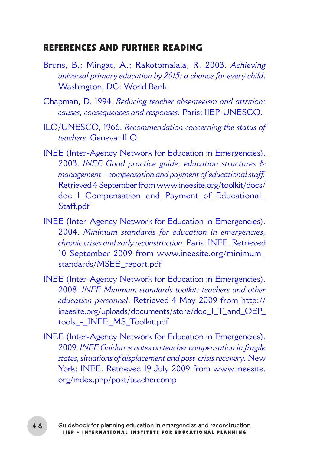#### <span id="page-21-0"></span>REFERENCES AND FURTHER READING

- Bruns, B.; Mingat, A.; Rakotomalala, R. 2003. *Achieving [universal primary education by 2015: a chance for every child](http://siteresources.worldbank.org/EDUCATION/Resources/278200-1089739404514/achieving_efa_full.pdf)*. Washington, DC: World Bank.
- Chapman, D. 1994. *[Reducing teacher absenteeism and attrition:](http://unesdoc.unesco.org/Ulis/cgi-bin/ulis.pl?catno=99192&set=4AE8D77D_3_72&gp=1&ll=1)  causes, consequences and responses.* Paris: IIEP-UNESCO.
- ILO/UNESCO, 1966. *[Recommendation concerning the status of](http://unesdoc.unesco.org/images/0011/001140/114048e.pdf#page=25)  teachers*. Geneva: ILO.
- [INEE \(Inter-Agency Network for Education in Emergencies\).](http://www.ineesite.org/uploads/documents/store/doc_1_Assessing_Resource_Needs_-_Teachers.pdf)  2003. *INEE Good practice guide: education structures & management – compensation and payment of educational staff.* Retrieved 4 September from www.ineesite.org/toolkit/docs/ doc<sup>1</sup> Compensation and Payment of Educational Staff.pdf
- [INEE \(Inter-Agency Network for Education in Emergencies\).](www.ineesite.org/minimum_standards/MSEE_report.pdf)  2004. *Minimum standards for education in emergencies, chronic crises and early reconstruction.* Paris: INEE. Retrieved 10 September 2009 from www.ineesite.org/minimum\_ standards/MSEE\_report.pdf
- [INEE \(Inter-Agency Network for Education in Emergencies\).](http://ineesite.org/uploads/documents/store/doc_1_T_and_OEP_tools_-_INEE_MS_Toolkit.pdf)  2008. *INEE Minimum standards toolkit: teachers and other education personnel*. Retrieved 4 May 2009 from http:// ineesite.org/uploads/documents/store/doc\_1\_T\_and\_OEP\_ tools\_-\_INEE\_MS\_Toolkit.pdf
- [INEE \(Inter-Agency Network for Education in Emergencies\).](www.ineesite.org/index.php/post/teachercomp)  2009. *INEE Guidance notes on teacher compensation in fragile states, situations of displacement and post-crisis recovery.* New York: INEE. Retrieved 19 July 2009 from www.ineesite. org/index.php/post/teachercomp